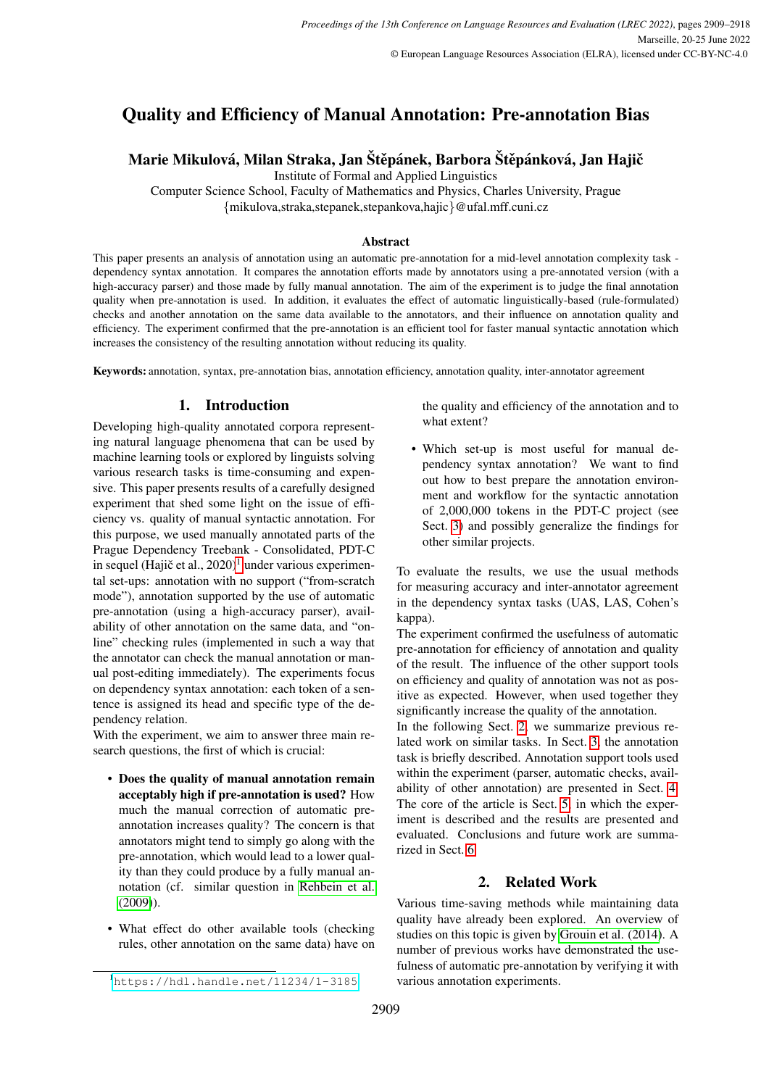# Quality and Efficiency of Manual Annotation: Pre-annotation Bias

## Marie Mikulová, Milan Straka, Jan Štěpánek, Barbora Štěpánková, Jan Hajič

Institute of Formal and Applied Linguistics

Computer Science School, Faculty of Mathematics and Physics, Charles University, Prague {mikulova,straka,stepanek,stepankova,hajic}@ufal.mff.cuni.cz

#### **Abstract**

This paper presents an analysis of annotation using an automatic pre-annotation for a mid-level annotation complexity task dependency syntax annotation. It compares the annotation efforts made by annotators using a pre-annotated version (with a high-accuracy parser) and those made by fully manual annotation. The aim of the experiment is to judge the final annotation quality when pre-annotation is used. In addition, it evaluates the effect of automatic linguistically-based (rule-formulated) checks and another annotation on the same data available to the annotators, and their influence on annotation quality and efficiency. The experiment confirmed that the pre-annotation is an efficient tool for faster manual syntactic annotation which increases the consistency of the resulting annotation without reducing its quality.

Keywords: annotation, syntax, pre-annotation bias, annotation efficiency, annotation quality, inter-annotator agreement

## 1. Introduction

<span id="page-0-2"></span>Developing high-quality annotated corpora representing natural language phenomena that can be used by machine learning tools or explored by linguists solving various research tasks is time-consuming and expensive. This paper presents results of a carefully designed experiment that shed some light on the issue of efficiency vs. quality of manual syntactic annotation. For this purpose, we used manually annotated parts of the Prague Dependency Treebank - Consolidated, PDT-C in sequel (Hajič et al., 2020)<sup>[1](#page-0-0)</sup> under various experimental set-ups: annotation with no support ("from-scratch mode"), annotation supported by the use of automatic pre-annotation (using a high-accuracy parser), availability of other annotation on the same data, and "online" checking rules (implemented in such a way that the annotator can check the manual annotation or manual post-editing immediately). The experiments focus on dependency syntax annotation: each token of a sentence is assigned its head and specific type of the dependency relation.

With the experiment, we aim to answer three main research questions, the first of which is crucial:

- Does the quality of manual annotation remain acceptably high if pre-annotation is used? How much the manual correction of automatic preannotation increases quality? The concern is that annotators might tend to simply go along with the pre-annotation, which would lead to a lower quality than they could produce by a fully manual annotation (cf. similar question in [Rehbein et al.](#page-8-0) [\(2009\)](#page-8-0)).
- What effect do other available tools (checking rules, other annotation on the same data) have on

the quality and efficiency of the annotation and to what extent?

• Which set-up is most useful for manual dependency syntax annotation? We want to find out how to best prepare the annotation environment and workflow for the syntactic annotation of 2,000,000 tokens in the PDT-C project (see Sect. [3\)](#page-1-0) and possibly generalize the findings for other similar projects.

To evaluate the results, we use the usual methods for measuring accuracy and inter-annotator agreement in the dependency syntax tasks (UAS, LAS, Cohen's kappa).

The experiment confirmed the usefulness of automatic pre-annotation for efficiency of annotation and quality of the result. The influence of the other support tools on efficiency and quality of annotation was not as positive as expected. However, when used together they significantly increase the quality of the annotation.

In the following Sect. [2,](#page-0-1) we summarize previous related work on similar tasks. In Sect. [3,](#page-1-0) the annotation task is briefly described. Annotation support tools used within the experiment (parser, automatic checks, availability of other annotation) are presented in Sect. [4.](#page-2-0) The core of the article is Sect. [5,](#page-4-0) in which the experiment is described and the results are presented and evaluated. Conclusions and future work are summarized in Sect. [6.](#page-7-0)

## 2. Related Work

<span id="page-0-1"></span>Various time-saving methods while maintaining data quality have already been explored. An overview of studies on this topic is given by [Grouin et al. \(2014\)](#page-8-1). A number of previous works have demonstrated the usefulness of automatic pre-annotation by verifying it with various annotation experiments.

<span id="page-0-0"></span><sup>1</sup><https://hdl.handle.net/11234/1-3185>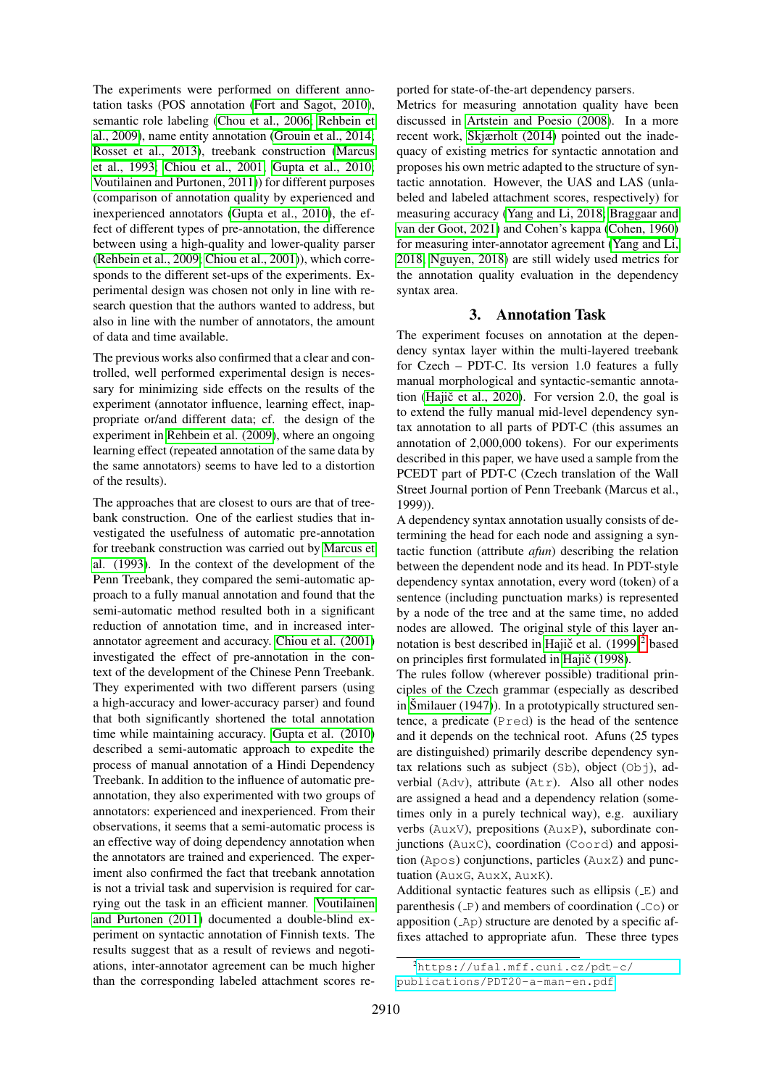The experiments were performed on different annotation tasks (POS annotation [\(Fort and Sagot, 2010\)](#page-8-2), semantic role labeling [\(Chou et al., 2006;](#page-8-3) [Rehbein et](#page-8-0) [al., 2009\)](#page-8-0), name entity annotation [\(Grouin et al., 2014;](#page-8-1) [Rosset et al., 2013\)](#page-8-4), treebank construction [\(Marcus](#page-8-5) [et al., 1993;](#page-8-5) [Chiou et al., 2001;](#page-7-1) [Gupta et al., 2010;](#page-8-6) [Voutilainen and Purtonen, 2011\)](#page-9-0)) for different purposes (comparison of annotation quality by experienced and inexperienced annotators [\(Gupta et al., 2010\)](#page-8-6), the effect of different types of pre-annotation, the difference between using a high-quality and lower-quality parser [\(Rehbein et al., 2009;](#page-8-0) [Chiou et al., 2001\)](#page-7-1)), which corresponds to the different set-ups of the experiments. Experimental design was chosen not only in line with research question that the authors wanted to address, but also in line with the number of annotators, the amount of data and time available.

The previous works also confirmed that a clear and controlled, well performed experimental design is necessary for minimizing side effects on the results of the experiment (annotator influence, learning effect, inappropriate or/and different data; cf. the design of the experiment in [Rehbein et al. \(2009\)](#page-8-0), where an ongoing learning effect (repeated annotation of the same data by the same annotators) seems to have led to a distortion of the results).

The approaches that are closest to ours are that of treebank construction. One of the earliest studies that investigated the usefulness of automatic pre-annotation for treebank construction was carried out by [Marcus et](#page-8-5) [al. \(1993\)](#page-8-5). In the context of the development of the Penn Treebank, they compared the semi-automatic approach to a fully manual annotation and found that the semi-automatic method resulted both in a significant reduction of annotation time, and in increased interannotator agreement and accuracy. [Chiou et al. \(2001\)](#page-7-1) investigated the effect of pre-annotation in the context of the development of the Chinese Penn Treebank. They experimented with two different parsers (using a high-accuracy and lower-accuracy parser) and found that both significantly shortened the total annotation time while maintaining accuracy. [Gupta et al. \(2010\)](#page-8-6) described a semi-automatic approach to expedite the process of manual annotation of a Hindi Dependency Treebank. In addition to the influence of automatic preannotation, they also experimented with two groups of annotators: experienced and inexperienced. From their observations, it seems that a semi-automatic process is an effective way of doing dependency annotation when the annotators are trained and experienced. The experiment also confirmed the fact that treebank annotation is not a trivial task and supervision is required for carrying out the task in an efficient manner. [Voutilainen](#page-9-0) [and Purtonen \(2011\)](#page-9-0) documented a double-blind experiment on syntactic annotation of Finnish texts. The results suggest that as a result of reviews and negotiations, inter-annotator agreement can be much higher than the corresponding labeled attachment scores reported for state-of-the-art dependency parsers.

Metrics for measuring annotation quality have been discussed in [Artstein and Poesio \(2008\)](#page-7-2). In a more recent work, [Skjærholt \(2014\)](#page-8-7) pointed out the inadequacy of existing metrics for syntactic annotation and proposes his own metric adapted to the structure of syntactic annotation. However, the UAS and LAS (unlabeled and labeled attachment scores, respectively) for measuring accuracy [\(Yang and Li, 2018;](#page-9-1) [Braggaar and](#page-7-3) [van der Goot, 2021\)](#page-7-3) and Cohen's kappa [\(Cohen, 1960\)](#page-8-8) for measuring inter-annotator agreement [\(Yang and Li,](#page-9-1) [2018;](#page-9-1) [Nguyen, 2018\)](#page-8-9) are still widely used metrics for the annotation quality evaluation in the dependency syntax area.

## 3. Annotation Task

<span id="page-1-0"></span>The experiment focuses on annotation at the dependency syntax layer within the multi-layered treebank for Czech – PDT-C. Its version 1.0 features a fully manual morphological and syntactic-semantic annotation (Hajič et al., 2020). For version 2.0, the goal is to extend the fully manual mid-level dependency syntax annotation to all parts of PDT-C (this assumes an annotation of 2,000,000 tokens). For our experiments described in this paper, we have used a sample from the PCEDT part of PDT-C (Czech translation of the Wall Street Journal portion of Penn Treebank (Marcus et al., 1999)).

A dependency syntax annotation usually consists of determining the head for each node and assigning a syntactic function (attribute *afun*) describing the relation between the dependent node and its head. In PDT-style dependency syntax annotation, every word (token) of a sentence (including punctuation marks) is represented by a node of the tree and at the same time, no added nodes are allowed. The original style of this layer annotation is best described in Hajič et al.  $(1999)^2$  $(1999)^2$  based on principles first formulated in Haiič (1998).

The rules follow (wherever possible) traditional principles of the Czech grammar (especially as described in Smilauer  $(1947)$ ). In a prototypically structured sentence, a predicate (Pred) is the head of the sentence and it depends on the technical root. Afuns (25 types are distinguished) primarily describe dependency syntax relations such as subject (Sb), object (Obj), adverbial (Adv), attribute (Atr). Also all other nodes are assigned a head and a dependency relation (sometimes only in a purely technical way), e.g. auxiliary verbs (AuxV), prepositions (AuxP), subordinate conjunctions (AuxC), coordination (Coord) and apposition (Apos) conjunctions, particles (AuxZ) and punctuation (AuxG, AuxX, AuxK).

Additional syntactic features such as ellipsis  $(E)$  and parenthesis ( P) and members of coordination ( Co) or apposition ( Ap) structure are denoted by a specific affixes attached to appropriate afun. These three types

<span id="page-1-1"></span><sup>2</sup>[https://ufal.mff.cuni.cz/pdt-c/](https://ufal.mff.cuni.cz/pdt-c/publications/PDT20-a-man-en.pdf)

[publications/PDT20-a-man-en.pdf](https://ufal.mff.cuni.cz/pdt-c/publications/PDT20-a-man-en.pdf)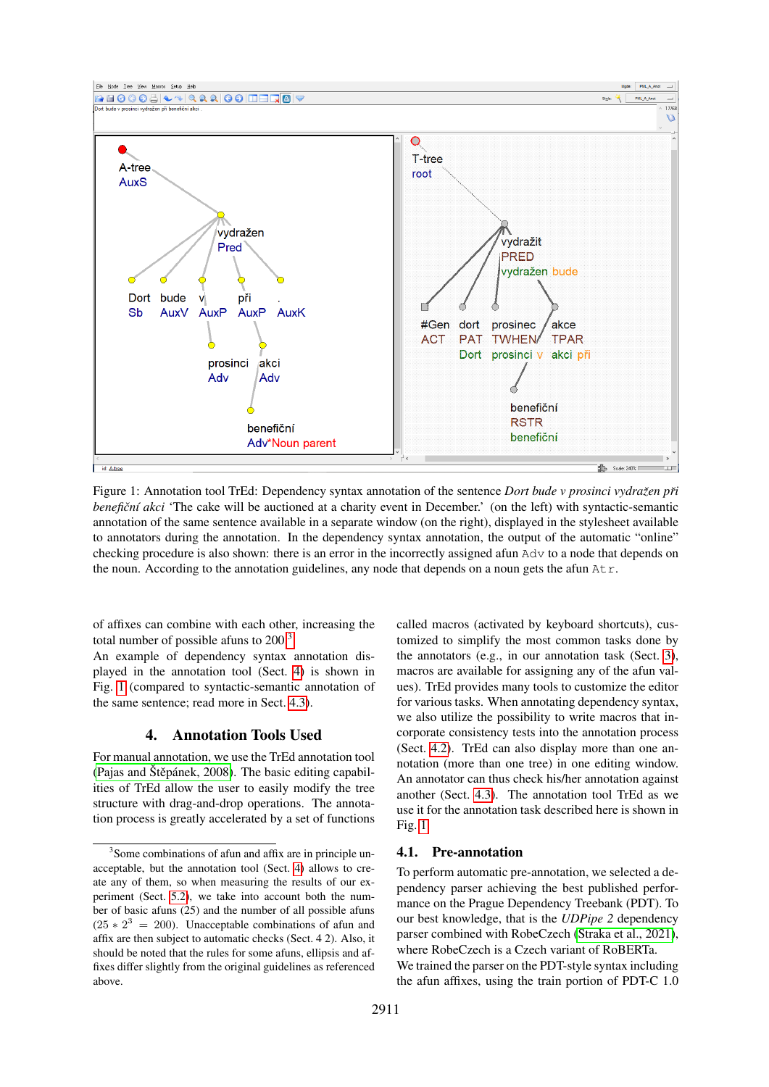<span id="page-2-2"></span>

Figure 1: Annotation tool TrEd: Dependency syntax annotation of the sentence *Dort bude v prosinci vydražen při benefiční akci* 'The cake will be auctioned at a charity event in December.' (on the left) with syntactic-semantic annotation of the same sentence available in a separate window (on the right), displayed in the stylesheet available to annotators during the annotation. In the dependency syntax annotation, the output of the automatic "online" checking procedure is also shown: there is an error in the incorrectly assigned afun Adv to a node that depends on the noun. According to the annotation guidelines, any node that depends on a noun gets the afun  $Art.$ 

of affixes can combine with each other, increasing the total number of possible afuns to 200.<sup>[3](#page-2-1)</sup>

An example of dependency syntax annotation displayed in the annotation tool (Sect. [4\)](#page-2-0) is shown in Fig. [1](#page-2-2) (compared to syntactic-semantic annotation of the same sentence; read more in Sect. [4.3\)](#page-3-0).

#### 4. Annotation Tools Used

<span id="page-2-0"></span>For manual annotation, we use the TrEd annotation tool  $(Pajas and Ště pánek, 2008)$ . The basic editing capabilities of TrEd allow the user to easily modify the tree structure with drag-and-drop operations. The annotation process is greatly accelerated by a set of functions called macros (activated by keyboard shortcuts), customized to simplify the most common tasks done by the annotators (e.g., in our annotation task (Sect. [3\)](#page-1-0), macros are available for assigning any of the afun values). TrEd provides many tools to customize the editor for various tasks. When annotating dependency syntax, we also utilize the possibility to write macros that incorporate consistency tests into the annotation process (Sect. [4.2\)](#page-3-1). TrEd can also display more than one annotation (more than one tree) in one editing window. An annotator can thus check his/her annotation against another (Sect. [4.3\)](#page-3-0). The annotation tool TrEd as we use it for the annotation task described here is shown in Fig. [1.](#page-2-2)

#### <span id="page-2-3"></span>4.1. Pre-annotation

To perform automatic pre-annotation, we selected a dependency parser achieving the best published performance on the Prague Dependency Treebank (PDT). To our best knowledge, that is the *UDPipe 2* dependency parser combined with RobeCzech [\(Straka et al., 2021\)](#page-8-15), where RobeCzech is a Czech variant of RoBERTa. We trained the parser on the PDT-style syntax including the afun affixes, using the train portion of PDT-C 1.0

<span id="page-2-1"></span><sup>&</sup>lt;sup>3</sup> Some combinations of afun and affix are in principle unacceptable, but the annotation tool (Sect. [4\)](#page-2-0) allows to create any of them, so when measuring the results of our experiment (Sect. [5.2\)](#page-4-1), we take into account both the number of basic afuns (25) and the number of all possible afuns  $(25 \times 2^3 = 200)$ . Unacceptable combinations of afun and affix are then subject to automatic checks (Sect. 4 2). Also, it should be noted that the rules for some afuns, ellipsis and affixes differ slightly from the original guidelines as referenced above.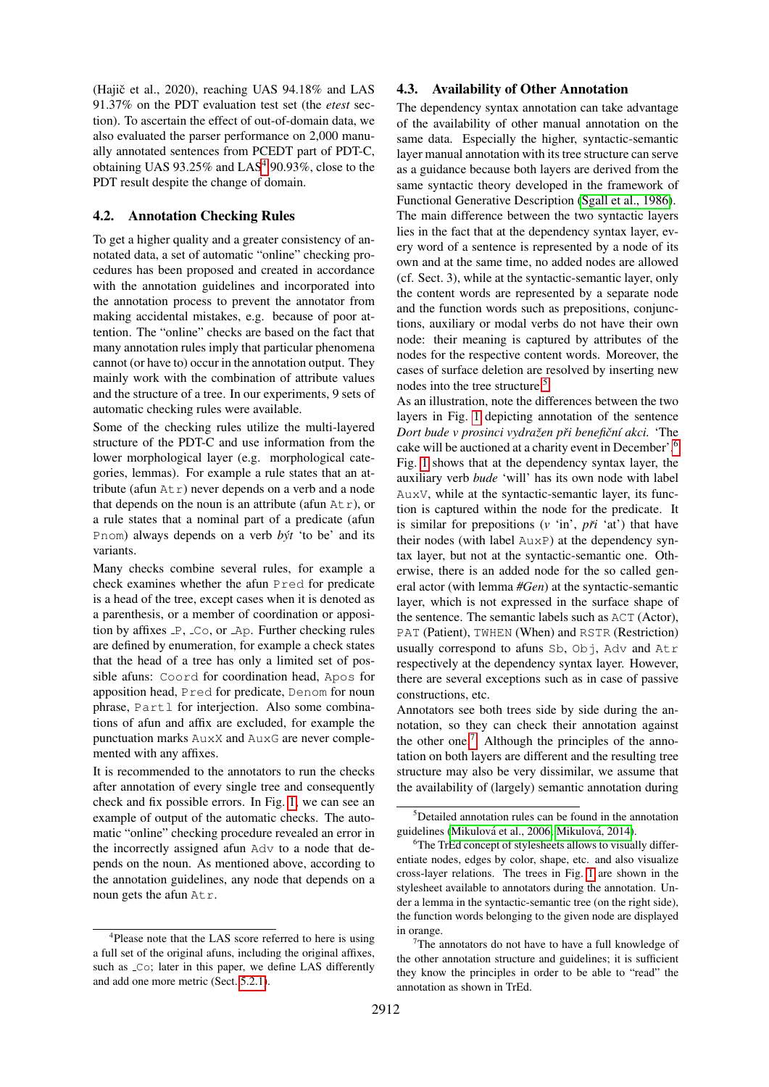(Hajič et al., 2020), reaching UAS  $94.18\%$  and LAS 91.37% on the PDT evaluation test set (the *etest* section). To ascertain the effect of out-of-domain data, we also evaluated the parser performance on 2,000 manually annotated sentences from PCEDT part of PDT-C, obtaining UAS  $93.25\%$  and LAS<sup>[4](#page-3-2)</sup>  $90.93\%$ , close to the PDT result despite the change of domain.

#### <span id="page-3-1"></span>4.2. Annotation Checking Rules

To get a higher quality and a greater consistency of annotated data, a set of automatic "online" checking procedures has been proposed and created in accordance with the annotation guidelines and incorporated into the annotation process to prevent the annotator from making accidental mistakes, e.g. because of poor attention. The "online" checks are based on the fact that many annotation rules imply that particular phenomena cannot (or have to) occur in the annotation output. They mainly work with the combination of attribute values and the structure of a tree. In our experiments, 9 sets of automatic checking rules were available.

Some of the checking rules utilize the multi-layered structure of the PDT-C and use information from the lower morphological layer (e.g. morphological categories, lemmas). For example a rule states that an attribute (afun  $Atr$ ) never depends on a verb and a node that depends on the noun is an attribute (afun  $Atr$ ), or a rule states that a nominal part of a predicate (afun Pnom) always depends on a verb *byt´* 'to be' and its variants.

Many checks combine several rules, for example a check examines whether the afun Pred for predicate is a head of the tree, except cases when it is denoted as a parenthesis, or a member of coordination or apposition by affixes  $_P$ ,  $C_O$ , or  $Ap$ . Further checking rules are defined by enumeration, for example a check states that the head of a tree has only a limited set of possible afuns: Coord for coordination head, Apos for apposition head, Pred for predicate, Denom for noun phrase, Partl for interjection. Also some combinations of afun and affix are excluded, for example the punctuation marks AuxX and AuxG are never complemented with any affixes.

It is recommended to the annotators to run the checks after annotation of every single tree and consequently check and fix possible errors. In Fig. [1,](#page-2-2) we can see an example of output of the automatic checks. The automatic "online" checking procedure revealed an error in the incorrectly assigned afun Adv to a node that depends on the noun. As mentioned above, according to the annotation guidelines, any node that depends on a noun gets the afun Atr.

#### <span id="page-3-0"></span>4.3. Availability of Other Annotation

The dependency syntax annotation can take advantage of the availability of other manual annotation on the same data. Especially the higher, syntactic-semantic layer manual annotation with its tree structure can serve as a guidance because both layers are derived from the same syntactic theory developed in the framework of Functional Generative Description [\(Sgall et al., 1986\)](#page-8-16). The main difference between the two syntactic layers lies in the fact that at the dependency syntax layer, every word of a sentence is represented by a node of its own and at the same time, no added nodes are allowed (cf. Sect. 3), while at the syntactic-semantic layer, only the content words are represented by a separate node and the function words such as prepositions, conjunctions, auxiliary or modal verbs do not have their own node: their meaning is captured by attributes of the nodes for the respective content words. Moreover, the cases of surface deletion are resolved by inserting new nodes into the tree structure.<sup>[5](#page-3-3)</sup>

As an illustration, note the differences between the two layers in Fig. [1](#page-2-2) depicting annotation of the sentence *Dort bude v prosinci vydrazen p ˇ ri benefi ˇ cnˇ ´ı akci.* 'The cake will be auctioned at a charity event in December'.[6](#page-3-4) Fig. [1](#page-2-2) shows that at the dependency syntax layer, the auxiliary verb *bude* 'will' has its own node with label AuxV, while at the syntactic-semantic layer, its function is captured within the node for the predicate. It is similar for prepositions  $(v \in \mathcal{I}$  in',  $\vec{pr}$  at') that have their nodes (with label AuxP) at the dependency syntax layer, but not at the syntactic-semantic one. Otherwise, there is an added node for the so called general actor (with lemma *#Gen*) at the syntactic-semantic layer, which is not expressed in the surface shape of the sentence. The semantic labels such as ACT (Actor), PAT (Patient), TWHEN (When) and RSTR (Restriction) usually correspond to afuns Sb, Obj, Adv and Atr respectively at the dependency syntax layer. However, there are several exceptions such as in case of passive constructions, etc.

Annotators see both trees side by side during the annotation, so they can check their annotation against the other one.<sup>[7](#page-3-5)</sup> Although the principles of the annotation on both layers are different and the resulting tree structure may also be very dissimilar, we assume that the availability of (largely) semantic annotation during

<span id="page-3-2"></span><sup>&</sup>lt;sup>4</sup>Please note that the LAS score referred to here is using a full set of the original afuns, including the original affixes, such as  $\text{\_CO}$ ; later in this paper, we define LAS differently and add one more metric (Sect. [5.2.1\)](#page-4-2).

<span id="page-3-3"></span><sup>5</sup>Detailed annotation rules can be found in the annotation guidelines (Mikulová et al., 2006; [Mikulov](#page-8-18)á, 2014).

<span id="page-3-4"></span><sup>&</sup>lt;sup>6</sup>The TrEd concept of stylesheets allows to visually differentiate nodes, edges by color, shape, etc. and also visualize cross-layer relations. The trees in Fig. [1](#page-2-2) are shown in the stylesheet available to annotators during the annotation. Under a lemma in the syntactic-semantic tree (on the right side), the function words belonging to the given node are displayed in orange.

<span id="page-3-5"></span> $7$ The annotators do not have to have a full knowledge of the other annotation structure and guidelines; it is sufficient they know the principles in order to be able to "read" the annotation as shown in TrEd.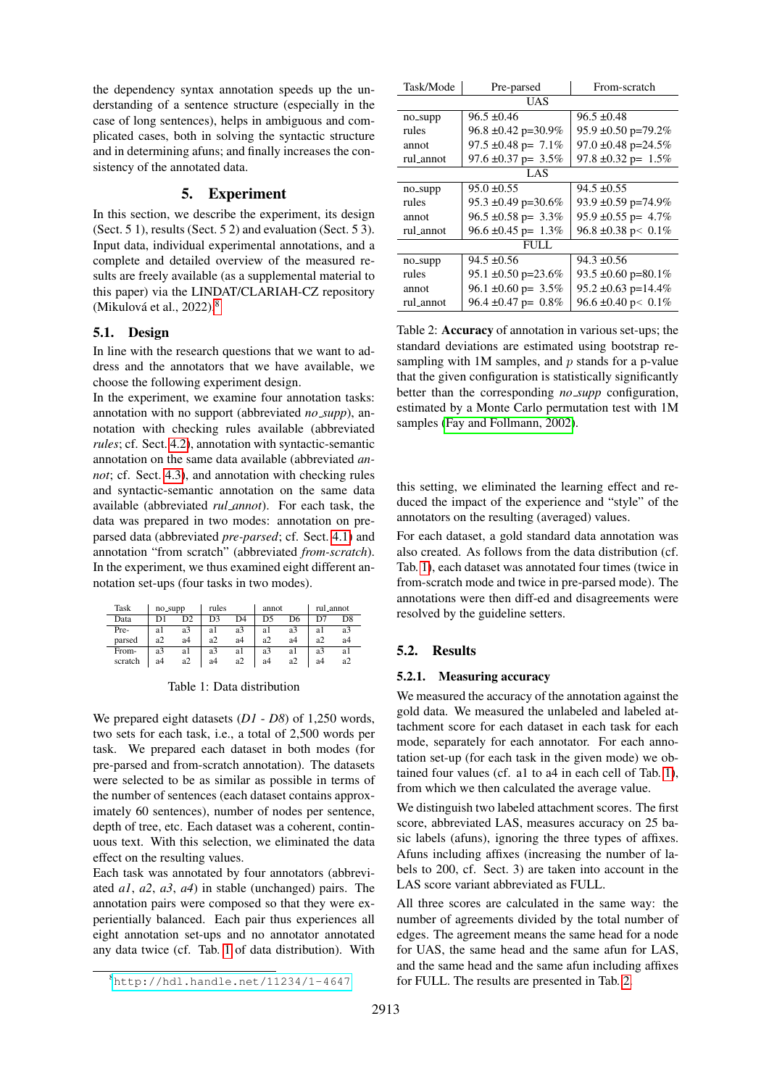the dependency syntax annotation speeds up the understanding of a sentence structure (especially in the case of long sentences), helps in ambiguous and complicated cases, both in solving the syntactic structure and in determining afuns; and finally increases the consistency of the annotated data.

## 5. Experiment

<span id="page-4-0"></span>In this section, we describe the experiment, its design (Sect. 5 1), results (Sect. 5 2) and evaluation (Sect. 5 3). Input data, individual experimental annotations, and a complete and detailed overview of the measured results are freely available (as a supplemental material to this paper) via the LINDAT/CLARIAH-CZ repository (Mikulová et al., 2022).<sup>[8](#page-4-3)</sup>

#### 5.1. Design

In line with the research questions that we want to address and the annotators that we have available, we choose the following experiment design.

In the experiment, we examine four annotation tasks: annotation with no support (abbreviated *no supp*), annotation with checking rules available (abbreviated *rules*; cf. Sect. [4.2\)](#page-3-1), annotation with syntactic-semantic annotation on the same data available (abbreviated *annot*; cf. Sect. [4.3\)](#page-3-0), and annotation with checking rules and syntactic-semantic annotation on the same data available (abbreviated *rul annot*). For each task, the data was prepared in two modes: annotation on preparsed data (abbreviated *pre-parsed*; cf. Sect. [4.1\)](#page-2-3) and annotation "from scratch" (abbreviated *from-scratch*). In the experiment, we thus examined eight different annotation set-ups (four tasks in two modes).

<span id="page-4-4"></span>

| Task    | no_supp        |                | rules          |    | annot          |    | rul_annot |    |
|---------|----------------|----------------|----------------|----|----------------|----|-----------|----|
| Data    | D1             | D2             | D3             | D4 | D5             | D6 | D7        | D8 |
| Pre-    | al             | a3             | al             | a3 | al             | a3 | al        | a3 |
| parsed  | a2             | a4             | a2             | a4 | a2             | a4 | a2        | a4 |
| From-   | a <sub>3</sub> | a1             | a <sub>3</sub> | a1 | a <sub>3</sub> | a1 | a3        | al |
| scratch | a4             | a <sub>2</sub> | a4             | a2 | a4             | a2 | a4        | a2 |

| Table 1: Data distribution |  |  |  |  |  |
|----------------------------|--|--|--|--|--|
|----------------------------|--|--|--|--|--|

We prepared eight datasets (*D1* - *D8*) of 1,250 words, two sets for each task, i.e., a total of 2,500 words per task. We prepared each dataset in both modes (for pre-parsed and from-scratch annotation). The datasets were selected to be as similar as possible in terms of the number of sentences (each dataset contains approximately 60 sentences), number of nodes per sentence, depth of tree, etc. Each dataset was a coherent, continuous text. With this selection, we eliminated the data effect on the resulting values.

Each task was annotated by four annotators (abbreviated *a1*, *a2*, *a3*, *a4*) in stable (unchanged) pairs. The annotation pairs were composed so that they were experientially balanced. Each pair thus experiences all eight annotation set-ups and no annotator annotated any data twice (cf. Tab. [1](#page-4-4) of data distribution). With

<span id="page-4-5"></span>

| Task/Mode   | Pre-parsed                 | From-scratch                      |  |  |
|-------------|----------------------------|-----------------------------------|--|--|
| UAS         |                            |                                   |  |  |
| no_supp     | $96.5 \pm 0.46$            | $96.5 \pm 0.48$                   |  |  |
| rules       | $96.8 \pm 0.42$ p=30.9%    | $95.9 \pm 0.50$ p=79.2%           |  |  |
| annot       | 97.5 $\pm 0.48$ p= 7.1%    | 97.0 $\pm$ 0.48 p=24.5%           |  |  |
| rul_annot   | 97.6 $\pm 0.37$ p= 3.5%    | 97.8 $\pm 0.32$ p= 1.5%           |  |  |
| LAS         |                            |                                   |  |  |
| no_supp     | $95.0 \pm 0.55$            | $94.5 \pm 0.55$                   |  |  |
| rules       | 95.3 $\pm$ 0.49 p=30.6%    | 93.9 $\pm$ 0.59 p=74.9%           |  |  |
| annot       | $96.5 \pm 0.58$ p= 3.3%    | 95.9 ±0.55 p= $4.7\%$             |  |  |
| rul_annot   | $96.6 \pm 0.45$ p= 1.3%    | 96.8 $\pm 0.38$ p < 0.1%          |  |  |
| <b>FULL</b> |                            |                                   |  |  |
| no_supp     | $94.5 \pm 0.56$            | $94.3 \pm 0.56$                   |  |  |
| rules       | 95.1 $\pm$ 0.50 p=23.6%    | 93.5 ±0.60 p=80.1%                |  |  |
| annot       | 96.1 $\pm 0.60$ p= 3.5%    | 95.2 $\pm$ 0.63 p=14.4%           |  |  |
| rul_annot   | $96.4 \pm 0.47$ p= $0.8\%$ | $96.6 \pm 0.40 \text{ p} < 0.1\%$ |  |  |

Table 2: Accuracy of annotation in various set-ups; the standard deviations are estimated using bootstrap resampling with  $1M$  samples, and  $p$  stands for a p-value that the given configuration is statistically significantly better than the corresponding *no supp* configuration, estimated by a Monte Carlo permutation test with 1M samples [\(Fay and Follmann, 2002\)](#page-8-19).

this setting, we eliminated the learning effect and reduced the impact of the experience and "style" of the annotators on the resulting (averaged) values.

For each dataset, a gold standard data annotation was also created. As follows from the data distribution (cf. Tab. [1\)](#page-4-4), each dataset was annotated four times (twice in from-scratch mode and twice in pre-parsed mode). The annotations were then diff-ed and disagreements were resolved by the guideline setters.

#### <span id="page-4-1"></span>5.2. Results

#### <span id="page-4-2"></span>5.2.1. Measuring accuracy

We measured the accuracy of the annotation against the gold data. We measured the unlabeled and labeled attachment score for each dataset in each task for each mode, separately for each annotator. For each annotation set-up (for each task in the given mode) we obtained four values (cf. a1 to a4 in each cell of Tab. [1\)](#page-4-4), from which we then calculated the average value.

We distinguish two labeled attachment scores. The first score, abbreviated LAS, measures accuracy on 25 basic labels (afuns), ignoring the three types of affixes. Afuns including affixes (increasing the number of labels to 200, cf. Sect. 3) are taken into account in the LAS score variant abbreviated as FULL.

All three scores are calculated in the same way: the number of agreements divided by the total number of edges. The agreement means the same head for a node for UAS, the same head and the same afun for LAS, and the same head and the same afun including affixes for FULL. The results are presented in Tab. [2.](#page-4-5)

<span id="page-4-3"></span><sup>8</sup><http://hdl.handle.net/11234/1-4647>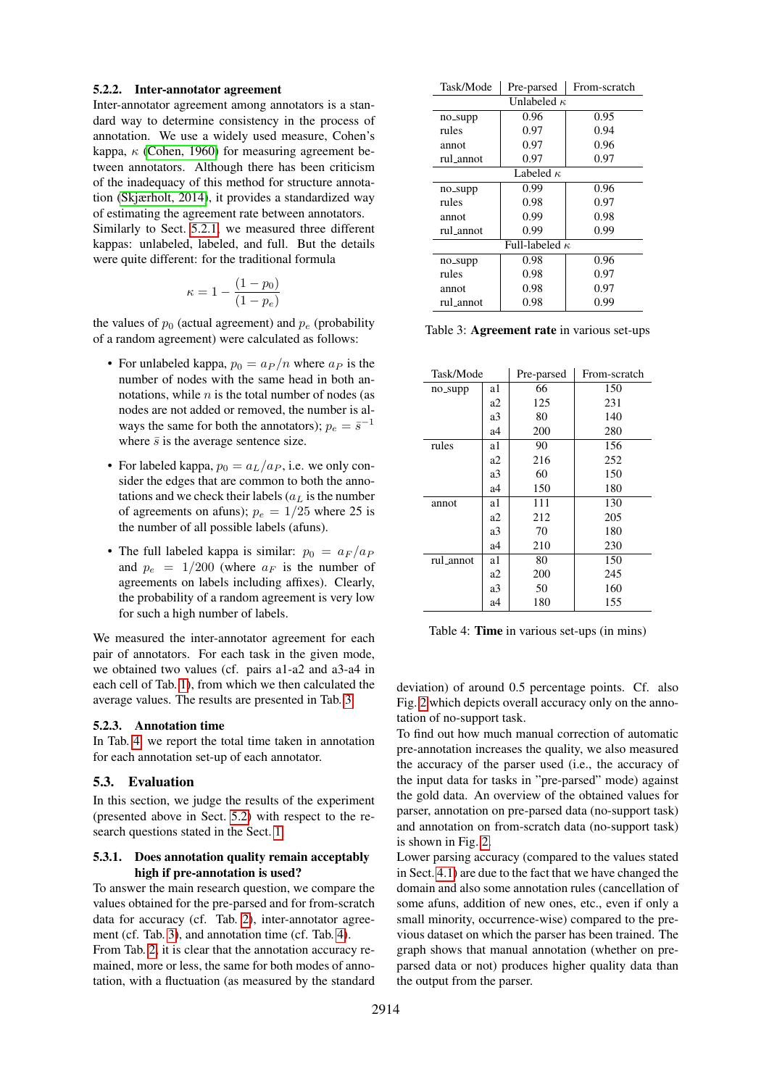#### 5.2.2. Inter-annotator agreement

Inter-annotator agreement among annotators is a standard way to determine consistency in the process of annotation. We use a widely used measure, Cohen's kappa,  $\kappa$  [\(Cohen, 1960\)](#page-8-8) for measuring agreement between annotators. Although there has been criticism of the inadequacy of this method for structure annotation [\(Skjærholt, 2014\)](#page-8-7), it provides a standardized way of estimating the agreement rate between annotators. Similarly to Sect. [5.2.1,](#page-4-2) we measured three different kappas: unlabeled, labeled, and full. But the details were quite different: for the traditional formula

$$
\kappa = 1 - \frac{(1 - p_0)}{(1 - p_e)}
$$

the values of  $p_0$  (actual agreement) and  $p_e$  (probability of a random agreement) were calculated as follows:

- For unlabeled kappa,  $p_0 = a_P/n$  where  $a_P$  is the number of nodes with the same head in both annotations, while  $n$  is the total number of nodes (as nodes are not added or removed, the number is always the same for both the annotators);  $p_e = \bar{s}^{-1}$ where  $\bar{s}$  is the average sentence size.
- For labeled kappa,  $p_0 = a_L/a_P$ , i.e. we only consider the edges that are common to both the annotations and we check their labels  $(a<sub>L</sub>)$  is the number of agreements on afuns);  $p_e = 1/25$  where 25 is the number of all possible labels (afuns).
- The full labeled kappa is similar:  $p_0 = a_F/a_P$ and  $p_e = 1/200$  (where  $a_F$  is the number of agreements on labels including affixes). Clearly, the probability of a random agreement is very low for such a high number of labels.

We measured the inter-annotator agreement for each pair of annotators. For each task in the given mode, we obtained two values (cf. pairs a1-a2 and a3-a4 in each cell of Tab. [1\)](#page-4-4), from which we then calculated the average values. The results are presented in Tab. [3.](#page-5-0)

#### 5.2.3. Annotation time

In Tab. [4,](#page-5-1) we report the total time taken in annotation for each annotation set-up of each annotator.

#### 5.3. Evaluation

In this section, we judge the results of the experiment (presented above in Sect. [5.2\)](#page-4-1) with respect to the research questions stated in the Sect. [1.](#page-0-2)

#### 5.3.1. Does annotation quality remain acceptably high if pre-annotation is used?

To answer the main research question, we compare the values obtained for the pre-parsed and for from-scratch data for accuracy (cf. Tab. [2\)](#page-4-5), inter-annotator agreement (cf. Tab. [3\)](#page-5-0), and annotation time (cf. Tab. [4\)](#page-5-1). From Tab. [2,](#page-4-5) it is clear that the annotation accuracy re-

mained, more or less, the same for both modes of annotation, with a fluctuation (as measured by the standard

<span id="page-5-0"></span>

| Task/Mode             | Pre-parsed | From-scratch |  |  |  |
|-----------------------|------------|--------------|--|--|--|
| Unlabeled $\kappa$    |            |              |  |  |  |
| no_supp               | 0.96       | 0.95         |  |  |  |
| rules                 | 0.97       | 0.94         |  |  |  |
| annot                 | 0.97       | 0.96         |  |  |  |
| rul_annot             | 0.97       | 0.97         |  |  |  |
| Labeled $\kappa$      |            |              |  |  |  |
| no_supp               | 0.99       | 0.96         |  |  |  |
| rules                 | 0.98       | 0.97         |  |  |  |
| annot                 | 0.99       | 0.98         |  |  |  |
| rul_annot             | 0.99       | 0.99         |  |  |  |
| Full-labeled $\kappa$ |            |              |  |  |  |
| no_supp               | 0.98       | 0.96         |  |  |  |
| rules                 | 0.98       | 0.97         |  |  |  |
| annot                 | 0.98       | 0.97         |  |  |  |
| rul_annot             | 0.98       | 0.99         |  |  |  |

Table 3: Agreement rate in various set-ups

<span id="page-5-1"></span>

| Task/Mode |    | Pre-parsed | From-scratch |  |
|-----------|----|------------|--------------|--|
| no_supp   | a1 |            | 150          |  |
|           | a2 | 125        | 231          |  |
|           | a3 | 80         | 140          |  |
|           | a4 | 200        | 280          |  |
| rules     | a1 | 90         | 156          |  |
|           | a2 | 216        | 252          |  |
|           | a3 | 60         | 150          |  |
|           | a4 | 150        | 180          |  |
| annot     | a1 | 111        | 130          |  |
|           | a2 | 212        | 205          |  |
|           | a3 | 70         | 180          |  |
|           | a4 | 210        | 230          |  |
| rul_annot | a1 | 80         | 150          |  |
|           | a2 | 200        | 245          |  |
|           | a3 | 50         | 160          |  |
|           | a4 | 180        | 155          |  |

Table 4: Time in various set-ups (in mins)

deviation) of around 0.5 percentage points. Cf. also Fig. [2](#page-6-0) which depicts overall accuracy only on the annotation of no-support task.

To find out how much manual correction of automatic pre-annotation increases the quality, we also measured the accuracy of the parser used (i.e., the accuracy of the input data for tasks in "pre-parsed" mode) against the gold data. An overview of the obtained values for parser, annotation on pre-parsed data (no-support task) and annotation on from-scratch data (no-support task) is shown in Fig. [2.](#page-6-0)

Lower parsing accuracy (compared to the values stated in Sect. [4.1\)](#page-2-3) are due to the fact that we have changed the domain and also some annotation rules (cancellation of some afuns, addition of new ones, etc., even if only a small minority, occurrence-wise) compared to the previous dataset on which the parser has been trained. The graph shows that manual annotation (whether on preparsed data or not) produces higher quality data than the output from the parser.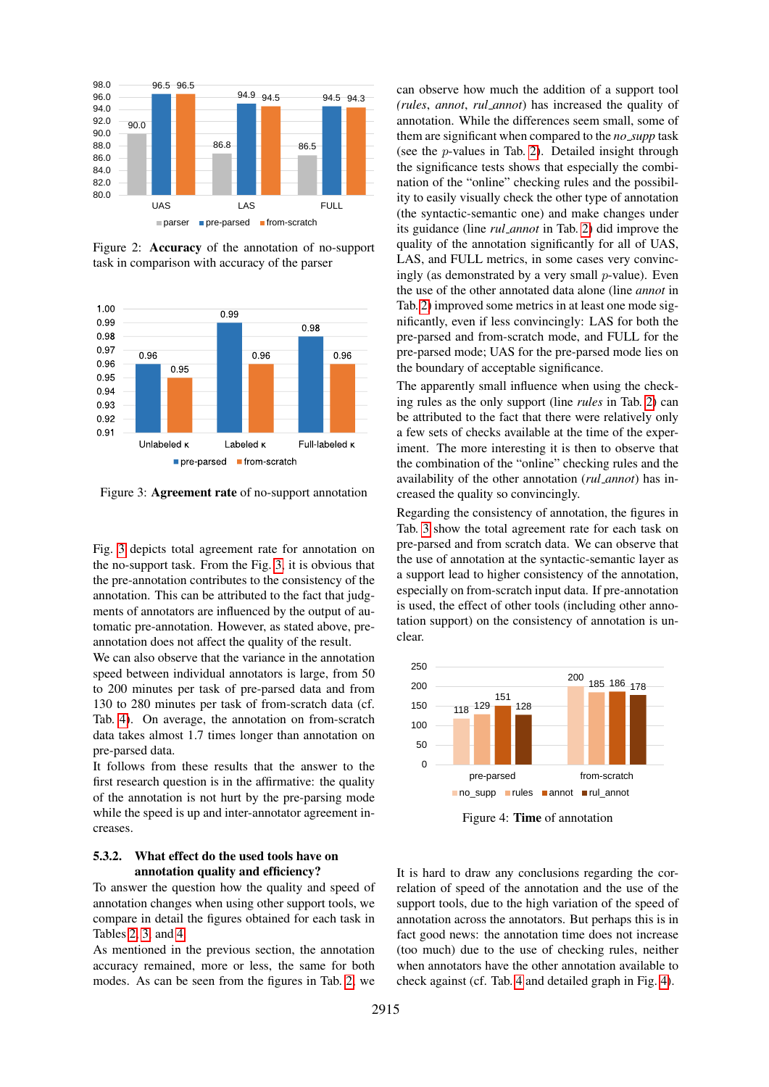<span id="page-6-0"></span>

Figure 2: Accuracy of the annotation of no-support task in comparison with accuracy of the parser

<span id="page-6-1"></span>

Figure 3: Agreement rate of no-support annotation

Fig. [3](#page-6-1) depicts total agreement rate for annotation on the no-support task. From the Fig. [3,](#page-6-1) it is obvious that the pre-annotation contributes to the consistency of the annotation. This can be attributed to the fact that judgments of annotators are influenced by the output of automatic pre-annotation. However, as stated above, preannotation does not affect the quality of the result.

We can also observe that the variance in the annotation speed between individual annotators is large, from 50 to 200 minutes per task of pre-parsed data and from 130 to 280 minutes per task of from-scratch data (cf. Tab. [4\)](#page-5-1). On average, the annotation on from-scratch data takes almost 1.7 times longer than annotation on pre-parsed data.

It follows from these results that the answer to the first research question is in the affirmative: the quality of the annotation is not hurt by the pre-parsing mode while the speed is up and inter-annotator agreement increases.

## 5.3.2. What effect do the used tools have on annotation quality and efficiency?

To answer the question how the quality and speed of annotation changes when using other support tools, we compare in detail the figures obtained for each task in Tables [2,](#page-4-5) [3,](#page-5-0) and [4.](#page-5-1)

As mentioned in the previous section, the annotation accuracy remained, more or less, the same for both modes. As can be seen from the figures in Tab. [2,](#page-4-5) we

can observe how much the addition of a support tool *(rules*, *annot*, *rul annot*) has increased the quality of annotation. While the differences seem small, some of them are significant when compared to the *no supp* task (see the p-values in Tab. [2\)](#page-4-5). Detailed insight through the significance tests shows that especially the combination of the "online" checking rules and the possibility to easily visually check the other type of annotation (the syntactic-semantic one) and make changes under its guidance (line *rul annot* in Tab. [2\)](#page-4-5) did improve the quality of the annotation significantly for all of UAS, LAS, and FULL metrics, in some cases very convincingly (as demonstrated by a very small  $p$ -value). Even the use of the other annotated data alone (line *annot* in Tab. [2\)](#page-4-5) improved some metrics in at least one mode significantly, even if less convincingly: LAS for both the pre-parsed and from-scratch mode, and FULL for the pre-parsed mode; UAS for the pre-parsed mode lies on the boundary of acceptable significance.

The apparently small influence when using the checking rules as the only support (line *rules* in Tab. [2\)](#page-4-5) can be attributed to the fact that there were relatively only a few sets of checks available at the time of the experiment. The more interesting it is then to observe that the combination of the "online" checking rules and the availability of the other annotation (*rul annot*) has increased the quality so convincingly.

Regarding the consistency of annotation, the figures in Tab. [3](#page-5-0) show the total agreement rate for each task on pre-parsed and from scratch data. We can observe that the use of annotation at the syntactic-semantic layer as a support lead to higher consistency of the annotation, especially on from-scratch input data. If pre-annotation is used, the effect of other tools (including other annotation support) on the consistency of annotation is unclear.

<span id="page-6-2"></span>

Figure 4: Time of annotation

It is hard to draw any conclusions regarding the correlation of speed of the annotation and the use of the support tools, due to the high variation of the speed of annotation across the annotators. But perhaps this is in fact good news: the annotation time does not increase (too much) due to the use of checking rules, neither when annotators have the other annotation available to check against (cf. Tab. [4](#page-5-1) and detailed graph in Fig. [4\)](#page-6-2).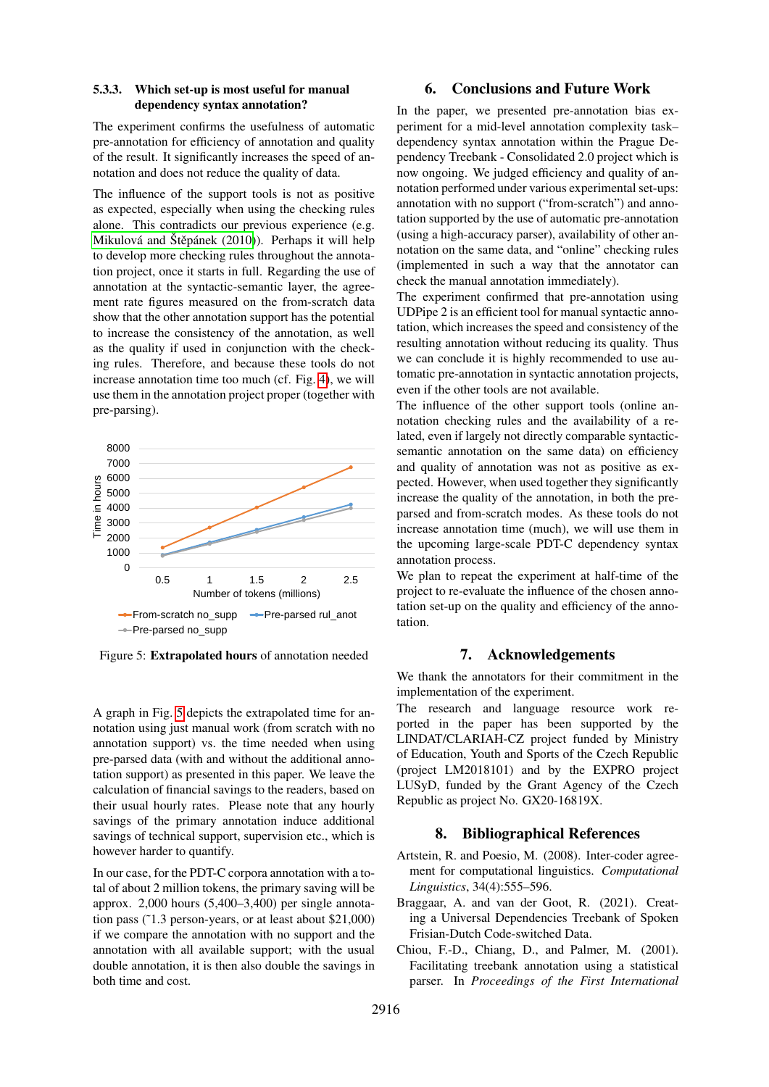## 5.3.3. Which set-up is most useful for manual dependency syntax annotation?

The experiment confirms the usefulness of automatic pre-annotation for efficiency of annotation and quality of the result. It significantly increases the speed of annotation and does not reduce the quality of data.

The influence of the support tools is not as positive as expected, especially when using the checking rules alone. This contradicts our previous experience (e.g. Mikulová and Štěpánek (2010)). Perhaps it will help to develop more checking rules throughout the annotation project, once it starts in full. Regarding the use of annotation at the syntactic-semantic layer, the agreement rate figures measured on the from-scratch data show that the other annotation support has the potential to increase the consistency of the annotation, as well as the quality if used in conjunction with the checking rules. Therefore, and because these tools do not increase annotation time too much (cf. Fig. [4\)](#page-6-2), we will use them in the annotation project proper (together with pre-parsing).

<span id="page-7-4"></span>

Figure 5: Extrapolated hours of annotation needed

A graph in Fig. [5](#page-7-4) depicts the extrapolated time for annotation using just manual work (from scratch with no annotation support) vs. the time needed when using pre-parsed data (with and without the additional annotation support) as presented in this paper. We leave the calculation of financial savings to the readers, based on their usual hourly rates. Please note that any hourly savings of the primary annotation induce additional savings of technical support, supervision etc., which is however harder to quantify.

<span id="page-7-0"></span>In our case, for the PDT-C corpora annotation with a total of about 2 million tokens, the primary saving will be approx. 2,000 hours (5,400–3,400) per single annotation pass (˜1.3 person-years, or at least about \$21,000) if we compare the annotation with no support and the annotation with all available support; with the usual double annotation, it is then also double the savings in both time and cost.

#### 6. Conclusions and Future Work

In the paper, we presented pre-annotation bias experiment for a mid-level annotation complexity task– dependency syntax annotation within the Prague Dependency Treebank - Consolidated 2.0 project which is now ongoing. We judged efficiency and quality of annotation performed under various experimental set-ups: annotation with no support ("from-scratch") and annotation supported by the use of automatic pre-annotation (using a high-accuracy parser), availability of other annotation on the same data, and "online" checking rules (implemented in such a way that the annotator can check the manual annotation immediately).

The experiment confirmed that pre-annotation using UDPipe 2 is an efficient tool for manual syntactic annotation, which increases the speed and consistency of the resulting annotation without reducing its quality. Thus we can conclude it is highly recommended to use automatic pre-annotation in syntactic annotation projects, even if the other tools are not available.

The influence of the other support tools (online annotation checking rules and the availability of a related, even if largely not directly comparable syntacticsemantic annotation on the same data) on efficiency and quality of annotation was not as positive as expected. However, when used together they significantly increase the quality of the annotation, in both the preparsed and from-scratch modes. As these tools do not increase annotation time (much), we will use them in the upcoming large-scale PDT-C dependency syntax annotation process.

We plan to repeat the experiment at half-time of the project to re-evaluate the influence of the chosen annotation set-up on the quality and efficiency of the annotation.

#### 7. Acknowledgements

We thank the annotators for their commitment in the implementation of the experiment.

The research and language resource work reported in the paper has been supported by the LINDAT/CLARIAH-CZ project funded by Ministry of Education, Youth and Sports of the Czech Republic (project LM2018101) and by the EXPRO project LUSyD, funded by the Grant Agency of the Czech Republic as project No. GX20-16819X.

## 8. Bibliographical References

- <span id="page-7-2"></span>Artstein, R. and Poesio, M. (2008). Inter-coder agreement for computational linguistics. *Computational Linguistics*, 34(4):555–596.
- <span id="page-7-3"></span>Braggaar, A. and van der Goot, R. (2021). Creating a Universal Dependencies Treebank of Spoken Frisian-Dutch Code-switched Data.
- <span id="page-7-1"></span>Chiou, F.-D., Chiang, D., and Palmer, M. (2001). Facilitating treebank annotation using a statistical parser. In *Proceedings of the First International*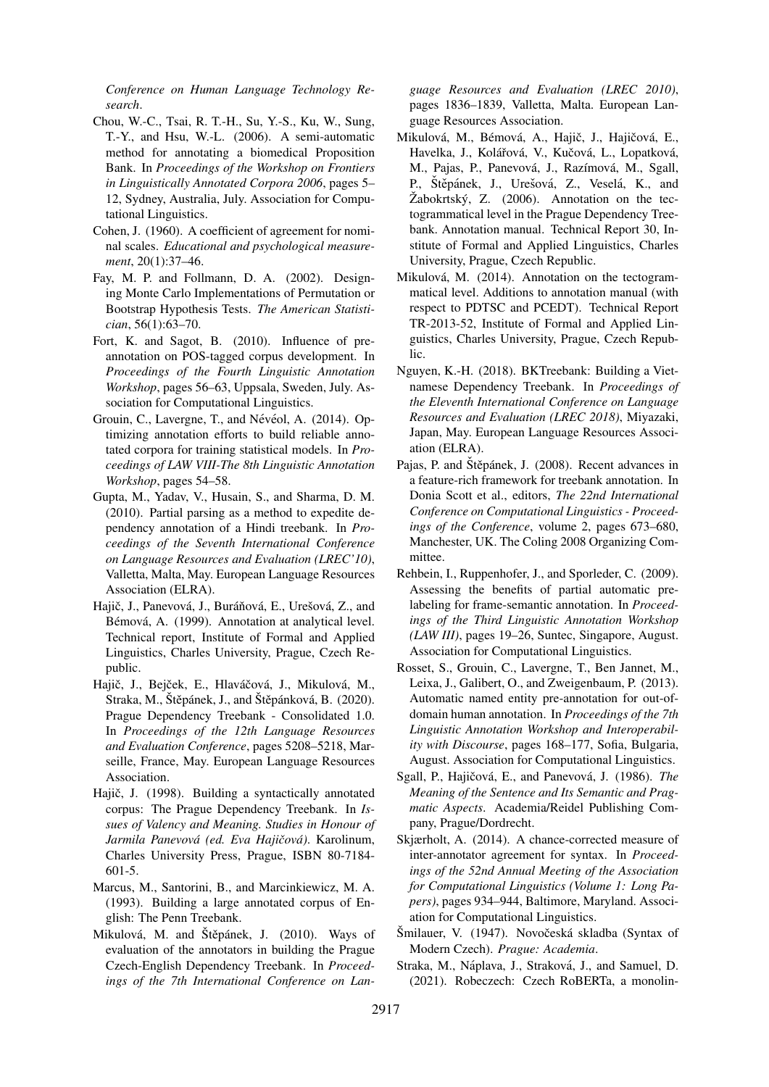*Conference on Human Language Technology Research*.

- <span id="page-8-3"></span>Chou, W.-C., Tsai, R. T.-H., Su, Y.-S., Ku, W., Sung, T.-Y., and Hsu, W.-L. (2006). A semi-automatic method for annotating a biomedical Proposition Bank. In *Proceedings of the Workshop on Frontiers in Linguistically Annotated Corpora 2006*, pages 5– 12, Sydney, Australia, July. Association for Computational Linguistics.
- <span id="page-8-8"></span>Cohen, J. (1960). A coefficient of agreement for nominal scales. *Educational and psychological measurement*, 20(1):37–46.
- <span id="page-8-19"></span>Fay, M. P. and Follmann, D. A. (2002). Designing Monte Carlo Implementations of Permutation or Bootstrap Hypothesis Tests. *The American Statistician*, 56(1):63–70.
- <span id="page-8-2"></span>Fort, K. and Sagot, B. (2010). Influence of preannotation on POS-tagged corpus development. In *Proceedings of the Fourth Linguistic Annotation Workshop*, pages 56–63, Uppsala, Sweden, July. Association for Computational Linguistics.
- <span id="page-8-1"></span>Grouin, C., Lavergne, T., and Névéol, A. (2014). Optimizing annotation efforts to build reliable annotated corpora for training statistical models. In *Proceedings of LAW VIII-The 8th Linguistic Annotation Workshop*, pages 54–58.
- <span id="page-8-6"></span>Gupta, M., Yadav, V., Husain, S., and Sharma, D. M. (2010). Partial parsing as a method to expedite dependency annotation of a Hindi treebank. In *Proceedings of the Seventh International Conference on Language Resources and Evaluation (LREC'10)*, Valletta, Malta, May. European Language Resources Association (ELRA).
- <span id="page-8-11"></span>Hajič, J., Panevová, J., Buráňová, E., Urešová, Z., and Bémová, A. (1999). Annotation at analytical level. Technical report, Institute of Formal and Applied Linguistics, Charles University, Prague, Czech Republic.
- <span id="page-8-10"></span>Hajič, J., Bejček, E., Hlaváčová, J., Mikulová, M., Straka, M., Štěpánek, J., and Štěpánková, B. (2020). Prague Dependency Treebank - Consolidated 1.0. In *Proceedings of the 12th Language Resources and Evaluation Conference*, pages 5208–5218, Marseille, France, May. European Language Resources Association.
- <span id="page-8-12"></span>Hajič, J. (1998). Building a syntactically annotated corpus: The Prague Dependency Treebank. In *Issues of Valency and Meaning. Studies in Honour of Jarmila Panevova (ed. Eva Haji ´ cov ˇ a)´* . Karolinum, Charles University Press, Prague, ISBN 80-7184- 601-5.
- <span id="page-8-5"></span>Marcus, M., Santorini, B., and Marcinkiewicz, M. A. (1993). Building a large annotated corpus of English: The Penn Treebank.
- <span id="page-8-20"></span>Mikulová, M. and Štěpánek, J. (2010). Ways of evaluation of the annotators in building the Prague Czech-English Dependency Treebank. In *Proceedings of the 7th International Conference on Lan-*

*guage Resources and Evaluation (LREC 2010)*, pages 1836–1839, Valletta, Malta. European Language Resources Association.

- <span id="page-8-17"></span>Mikulová, M., Bémová, A., Hajič, J., Hajičová, E., Havelka, J., Kolářová, V., Kučová, L., Lopatková, M., Pajas, P., Panevová, J., Razímová, M., Sgall, P., Štěpánek, J., Urešová, Z., Veselá, K., and  $\check{Z}$ abokrtský, Z. (2006). Annotation on the tectogrammatical level in the Prague Dependency Treebank. Annotation manual. Technical Report 30, Institute of Formal and Applied Linguistics, Charles University, Prague, Czech Republic.
- <span id="page-8-18"></span>Mikulová, M. (2014). Annotation on the tectogrammatical level. Additions to annotation manual (with respect to PDTSC and PCEDT). Technical Report TR-2013-52, Institute of Formal and Applied Linguistics, Charles University, Prague, Czech Republic.
- <span id="page-8-9"></span>Nguyen, K.-H. (2018). BKTreebank: Building a Vietnamese Dependency Treebank. In *Proceedings of the Eleventh International Conference on Language Resources and Evaluation (LREC 2018)*, Miyazaki, Japan, May. European Language Resources Association (ELRA).
- <span id="page-8-14"></span>Pajas, P. and Štěpánek, J. (2008). Recent advances in a feature-rich framework for treebank annotation. In Donia Scott et al., editors, *The 22nd International Conference on Computational Linguistics - Proceedings of the Conference*, volume 2, pages 673–680, Manchester, UK. The Coling 2008 Organizing Committee.
- <span id="page-8-0"></span>Rehbein, I., Ruppenhofer, J., and Sporleder, C. (2009). Assessing the benefits of partial automatic prelabeling for frame-semantic annotation. In *Proceedings of the Third Linguistic Annotation Workshop (LAW III)*, pages 19–26, Suntec, Singapore, August. Association for Computational Linguistics.
- <span id="page-8-4"></span>Rosset, S., Grouin, C., Lavergne, T., Ben Jannet, M., Leixa, J., Galibert, O., and Zweigenbaum, P. (2013). Automatic named entity pre-annotation for out-ofdomain human annotation. In *Proceedings of the 7th Linguistic Annotation Workshop and Interoperability with Discourse*, pages 168–177, Sofia, Bulgaria, August. Association for Computational Linguistics.
- <span id="page-8-16"></span>Sgall, P., Hajičová, E., and Panevová, J. (1986). The *Meaning of the Sentence and Its Semantic and Pragmatic Aspects*. Academia/Reidel Publishing Company, Prague/Dordrecht.
- <span id="page-8-7"></span>Skjærholt, A. (2014). A chance-corrected measure of inter-annotator agreement for syntax. In *Proceedings of the 52nd Annual Meeting of the Association for Computational Linguistics (Volume 1: Long Papers)*, pages 934–944, Baltimore, Maryland. Association for Computational Linguistics.
- <span id="page-8-13"></span>Šmilauer, V. (1947). Novočeská skladba (Syntax of Modern Czech). *Prague: Academia*.
- <span id="page-8-15"></span>Straka, M., Náplava, J., Straková, J., and Samuel, D. (2021). Robeczech: Czech RoBERTa, a monolin-